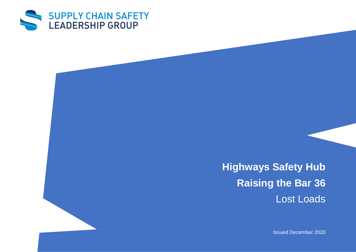

**Highways Safety Hub Raising the Bar 36** Lost Loads

Issued December 2020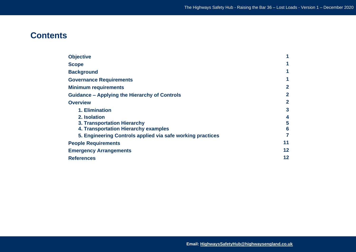# **Contents**

| <b>Objective</b>                                           |                |  |
|------------------------------------------------------------|----------------|--|
| <b>Scope</b>                                               |                |  |
| <b>Background</b>                                          |                |  |
| <b>Governance Requirements</b>                             |                |  |
| <b>Minimum requirements</b>                                | $\overline{2}$ |  |
| <b>Guidance - Applying the Hierarchy of Controls</b>       | $\overline{2}$ |  |
| <b>Overview</b>                                            |                |  |
| 1. Elimination                                             | 3              |  |
| 2. Isolation                                               | 4              |  |
| <b>3. Transportation Hierarchy</b>                         | 5              |  |
| 4. Transportation Hierarchy examples                       | 6              |  |
| 5. Engineering Controls applied via safe working practices | 7              |  |
| <b>People Requirements</b>                                 |                |  |
| <b>Emergency Arrangements</b>                              |                |  |
| <b>References</b>                                          |                |  |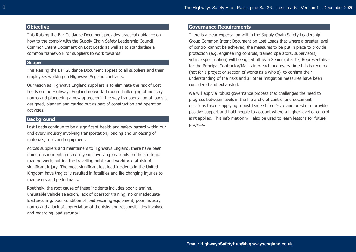# **Objective**

This Raising the Bar Guidance Document provides practical guidance on how to the comply with the Supply Chain Safety Leadership Council Common Intent Document on Lost Loads as well as to standardise a common framework for suppliers to work towards.

# **Scope**

This Raising the Bar Guidance Document applies to all suppliers and their employees working on Highways England contracts.

Our vision as Highways England suppliers is to eliminate the risk of Lost Loads on the Highways England network through challenging of industry norms and pioneering a new approach in the way transportation of loads is designed, planned and carried out as part of construction and operation activities.

# **Background**

Lost Loads continue to be a significant health and safety hazard within our and every industry involving transportation, loading and unloading of materials, tools and equipment.

Across suppliers and maintainers to Highways England, there have been numerous incidents in recent years involving lost loads on the strategic road network, putting the travelling public and workforce at risk of significant injury. The most significant lost load incidents in the United Kingdom have tragically resulted in fatalities and life changing injuries to road users and pedestrians.

Routinely, the root cause of these incidents includes poor planning, unsuitable vehicle selection, lack of operator training, no or inadequate load securing, poor condition of load securing equipment, poor industry norms and a lack of appreciation of the risks and responsibilities involved and regarding load security.

# **Governance Requirements**

There is a clear expectation within the Supply Chain Safety Leadership Group Common Intent Document on Lost Loads that where a greater level of control cannot be achieved, the measures to be put in place to provide protection (e.g. engineering controls, trained operators, supervisors, vehicle specification) will be signed off by a Senior (off-site) Representative for the Principal Contractor/Maintainer each and every time this is required (not for a project or section of works as a whole), to confirm their understanding of the risks and all other mitigation measures have been considered and exhausted.

We will apply a robust governance process that challenges the need to progress between levels in the hierarchy of control and document decisions taken - applying robust leadership off-site and on-site to provide positive support and hold people to account where a higher level of control isn't applied. This information will also be used to learn lessons for future projects.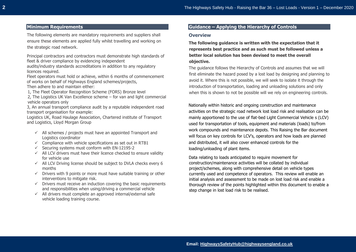# **Minimum Requirements**

The following elements are mandatory requirements and suppliers shall ensure these elements are applied fully whilst travelling and working on the strategic road network.

Principal contractors and contractors must demonstrate high standards of fleet & driver compliance by evidencing independent

audits/industry standards accreditations in addition to any regulatory licences required.

Fleet operators must hold or achieve, within 6 months of commencement of works on behalf of Highways England schemes/projects,

Then adhere to and maintain either:

1, The Fleet Operator Recognition Scheme (FORS) Bronze level

2, The Logistics UK Van Excellence scheme – for van and light commercial vehicle operators only

3, An annual transport compliance audit by a reputable independent road transport organisation for example:

Logistics UK, Road Haulage Association, Chartered institute of Transport and Logistics, Lloyd Morgan Group

- $\checkmark$  All schemes / projects must have an appointed Transport and Logistics coordinator
- $\checkmark$  Compliance with vehicle specifications as set out in RTB1
- $\checkmark$  Securing systems must conform with EN-12195-2
- $\checkmark$  All LCV drivers must have their licence checked to ensure validity for vehicle use
- $\checkmark$  All LCV Driving license should be subject to DVLA checks every 6 months
- $\checkmark$  Drivers with 9 points or more must have suitable training or other interventions to mitigate risk.
- $\checkmark$  Drivers must receive an induction covering the basic requirements and responsibilities when using/driving a commercial vehicle
- ✓ All drivers must complete an approved internal/external safe vehicle loading training course.

# **Guidance – Applying the Hierarchy of Controls**

#### **Overview**

**The following guidance is written with the expectation that it represents best practice and as such must be followed unless a better local solution has been devised to meet the overall objective.** 

The guidance follows the Hierarchy of Controls and assumes that we will first eliminate the hazard posed by a lost load by designing and planning to avoid it. Where this is not possible, we will seek to isolate it through the introduction of transportation, loading and unloading solutions and only when this is shown to not be possible will we rely on engineering controls.

Nationally within historic and ongoing construction and maintenance activities on the strategic road network lost load risk and realisation can be mainly apportioned to the use of flat-bed Light Commercial Vehicle s (LCV) used for transportation of tools, equipment and materials (loads) to/from work compounds and maintenance depots. This Raising the Bar document will focus on key controls for LCV's, operators and how loads are planned and distributed, it will also cover enhanced controls for the loading/unloading of plant items.

Data relating to loads anticipated to require movement for construction/maintenance activities will be collated by individual project/schemes, along with comprehensive detail on vehicle types currently used and competence of operators. This review will enable an initial analysis and assessment to be made on lost load risk and enable a thorough review of the points highlighted within this document to enable a step change in lost load risk to be realised.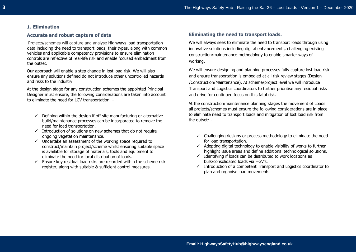#### **1. Elimination**

# **Accurate and robust capture of data**

Projects/schemes will capture and analyse Highways load transportation data including the need to transport loads, their types, along with common vehicles and applicable competency provisions to ensure elimination controls are reflective of real-life risk and enable focused embedment from the outset.

Our approach will enable a step change in lost load risk. We will also ensure any solutions defined do not introduce other uncontrolled hazards and risks to the industry.

At the design stage for any construction schemes the appointed Principal Designer must ensure, the following considerations are taken into account to eliminate the need for LCV transportation: -

- $\checkmark$  Defining within the design if off site manufacturing or alternative build/maintenance processes can be incorporated to remove the need for load transportation.
- $\checkmark$  Introduction of solutions on new schemes that do not require ongoing vegetation maintenance.
- $\checkmark$  Undertake an assessment of the working space required to construct/maintain project/scheme whilst ensuring suitable space is available for storage of materials, tools and equipment to eliminate the need for local distribution of loads.
- $\checkmark$  Ensure key residual load risks are recorded within the scheme risk register, along with suitable & sufficient control measures.

# **Eliminating the need to transport loads.**

We will always seek to eliminate the need to transport loads through using innovative solutions including digital enhancements, challenging existing construction/maintenance methodology to enable smarter ways of working.

We will ensure designing and planning processes fully capture lost load risk and ensure transportation is embodied at all risk review stages (Design /Construction/Maintenance). At scheme/project level we will introduce Transport and Logistics coordinators to further prioritise any residual risks and drive for continued focus on this fatal risk.

At the construction/maintenance planning stages the movement of Loads all projects/schemes must ensure the following considerations are in place to eliminate need to transport loads and mitigation of lost load risk from the outset: -

- $\checkmark$  Challenging designs or process methodology to eliminate the need for load transportation.
- $\checkmark$  Adopting digital technology to enable visibility of works to further highlight issue areas and define additional technological solutions.
- $\checkmark$  Identifying if loads can be distributed to work locations as bulk/consolidated loads via HGV's.
- $\checkmark$  Introduction of a competent Transport and Logistics coordinator to plan and organise load movements.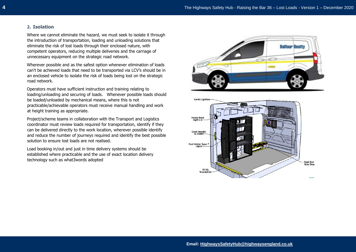# **2. Isolation**

Where we cannot eliminate the hazard, we must seek to isolate it through the introduction of transportation, loading and unloading solutions that eliminate the risk of lost loads through their enclosed nature, with competent operators, reducing multiple deliveries and the carriage of unnecessary equipment on the strategic road network.

Wherever possible and as the safest option whenever elimination of loads can't be achieved loads that need to be transported via LCV's should be in an enclosed vehicle to isolate the risk of loads being lost on the strategic road network.

Operators must have sufficient instruction and training relating to loading/unloading and securing of loads. Whenever possible loads should be loaded/unloaded by mechanical means, where this is not practicable/achievable operators must receive manual handling and work at height training as appropriate.

Project/scheme teams in collaboration with the Transport and Logistics coordinator must review loads required for transportation, identify if they can be delivered directly to the work location, wherever possible identify and reduce the number of journeys required and identify the best possible solution to ensure lost loads are not realised.

Load booking in/out and just in time delivery systems should be established where practicable and the use of exact location delivery technology such as what3words adopted



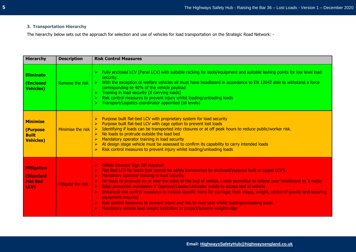# **3. Transportation Hierarchy**

The hierarchy below sets out the approach for selection and use of vehicles for load transportation on the Strategic Road Network: -

| <b>Hierarchy</b>                                                | <b>Description</b> | <b>Risk Control Measures</b>                                                                                                                                                                                                                                                                                                                                                                                                                                                                                                                                                                                                                                                                                                                                                                                                                                                                                            |
|-----------------------------------------------------------------|--------------------|-------------------------------------------------------------------------------------------------------------------------------------------------------------------------------------------------------------------------------------------------------------------------------------------------------------------------------------------------------------------------------------------------------------------------------------------------------------------------------------------------------------------------------------------------------------------------------------------------------------------------------------------------------------------------------------------------------------------------------------------------------------------------------------------------------------------------------------------------------------------------------------------------------------------------|
| <b>Eliminate</b><br>(Enclosed<br><b>Vehicles)</b>               | Remove the risk    | Fully enclosed LCV (Panel LCV) with suitable racking for tools/equipment and suitable lashing points for low level load<br>$\blacktriangleright$<br>security.<br>> With the exception of welfare vehicles all must have headboard in accordance to EN 12642 able to withstand a force<br>corresponding to 40% of the vehicle payload<br>Training in load security (if carrying loads)<br>$\blacktriangleright$<br>Risk control measures to prevent injury whilst loading/unloading loads<br>> Transport/Logistics coordinator appointed (all levels)                                                                                                                                                                                                                                                                                                                                                                    |
| <b>Minimise</b><br>(Purpose<br><b>Built</b><br><b>Vehicles)</b> | Minimise the risk  | Purpose built flat-bed LCV with proprietary system for load security<br>Purpose built flat-bed LCV with cage option to prevent lost loads<br>Identifying if loads can be transported into closures or at off peak hours to reduce public/worker risk.<br>$\triangleright$ No loads to protrude outside the load bed<br>Mandatory operator training in load security<br>At design stage vehicle must be assessed to confirm its capability to carry intended loads<br>$\blacktriangleright$<br>Risk control measures to prevent injury whilst loading/unloading loads<br>$\blacktriangleright$                                                                                                                                                                                                                                                                                                                           |
| <b>Mitigation</b><br>(Standard<br><b>Flat Bed</b><br>LCV)       | Mitigate the risk  | <b>Offsite Director Sign Off required</b><br>Flat-Bed LCV for loads that cannot be safely transported by enclosed/purpose built or caged LCV's.<br>$\blacktriangleright$<br>$\blacktriangleright$<br>Mandatory operator training in load security<br>No loads to protrude on or over the sides of the bed of vehicle, Loads permitted to extend over headboard by 1 meter<br>$\blacktriangleright$<br>Edge protection mandatory if Operator/Loader/Unloader needs to access bed of vehicle<br>$\blacktriangleright$<br>Enhanced risk control measures to include specific items for carriage, their shape, weight, centre of gravity and securing<br>$\blacktriangle$<br>equipment required<br>Risk control measures to prevent injury and risk to road user whilst loading/unloading loads<br>$\blacktriangleright$<br>Mandatory vehicle load weight indicators or project/scheme weighbridge<br>$\blacktriangleright$ |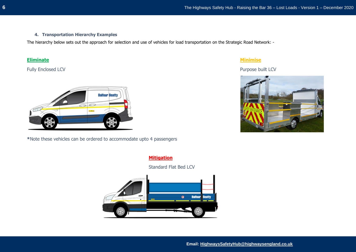# **4. Transportation Hierarchy Examples**

The hierarchy below sets out the approach for selection and use of vehicles for load transportation on the Strategic Road Network: -

Fully Enclosed LCV Purpose built LCV



**\***Note these vehicles can be ordered to accommodate upto 4 passengers

# **Eliminate Minimise**



# **Mitigation**

Standard Flat Bed LCV

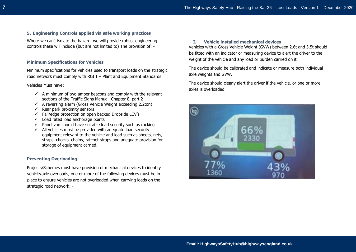#### **5. Engineering Controls applied via safe working practices**

Where we can't isolate the hazard, we will provide robust engineering controls these will include (but are not limited to) The provision of: -

#### **Minimum Specifications for Vehicles**

Minimum specifications for vehicles used to transport loads on the strategic road network must comply with RtB 1 – Plant and Equipment Standards.

#### Vehicles Must have:

- $\checkmark$  A minimum of two amber beacons and comply with the relevant sections of the Traffic Signs Manual, Chapter 8, part 2
- $\checkmark$  A reversing alarm (Gross Vehicle Weight exceeding 2.2ton)
- $\checkmark$  Rear park proximity sensors
- ✓ Fall/edge protection on open backed Dropside LCV's
- $\checkmark$  Load rated load anchorage points
- $\checkmark$  Panel van should have suitable load security such as racking
- $\checkmark$  All vehicles must be provided with adequate load security equipment relevant to the vehicle and load such as sheets, nets, straps, chocks, chains, ratchet straps and adequate provision for storage of equipment carried.

#### **Preventing Overloading**

Projects/Schemes must have provision of mechanical devices to identify vehicle/axle overloads, one or more of the following devices must be in place to ensure vehicles are not overloaded when carrying loads on the strategic road network: -

#### **I. Vehicle installed mechanical devices**

Vehicles with a Gross Vehicle Weight (GVW) between 2.6t and 3.5t should be fitted with an indicator or measuring device to alert the driver to the weight of the vehicle and any load or burden carried on it.

The device should be calibrated and indicate or measure both individual axle weights and GVW.

The device should clearly alert the driver if the vehicle, or one or more axles is overloaded.

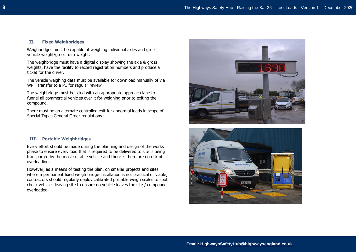#### **II. Fixed Weighbridges**

Weighbridges must be capable of weighing individual axles and gross vehicle weight/gross train weight.

The weighbridge must have a digital display showing the axle & gross weights, have the facility to record registration numbers and produce a ticket for the driver.

The vehicle weighing data must be available for download manually of via Wi-Fi transfer to a PC for regular review

The weighbridge must be sited with an appropriate approach lane to funnel all commercial vehicles over it for weighing prior to exiting the compound.

There must be an alternate controlled exit for abnormal loads in scope of Special Types General Order regulations

#### **III. Portable Weighbridges**

Every effort should be made during the planning and design of the works phase to ensure every load that is required to be delivered to site is being transported by the most suitable vehicle and there is therefore no risk of overloading.

However, as a means of testing the plan, on smaller projects and sites where a permanent fixed weigh bridge installation is not practical or viable, contractors should regularly deploy calibrated portable weigh scales to spot check vehicles leaving site to ensure no vehicle leaves the site / compound overloaded.



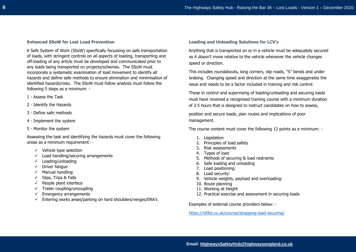#### **Enhanced SSoW for Lost Load Prevention**

A Safe System of Work (SSoW) specifically focussing on safe transportation of loads, with stringent controls on all aspects of loading, transporting and off-loading of any article must be developed and communicated prior to any loads being transported on projects/schemes. The SSoW must incorporate a systematic examination of load movement to identify all hazards and define safe methods to ensure elimination and minimisation of identified hazards/risks. The SSoW must follow analysis must follow the following 5 steps as a minimum: -

- 1 Assess the Task
- 2 Identify the Hazards
- 3 Define safe methods
- 4 Implement the system
- 5 Monitor the system

Assessing the task and identifying the hazards must cover the following areas as a minimum requirement: -

- $\checkmark$  Vehicle type selection
- $\checkmark$  Load handling/securing arrangements
- ✓ Loading/unloading
- ✓ Driver fatigue
- ✓ Manual handling
- $\checkmark$  Slips, Trips & Falls
- $\checkmark$  People plant interface
- $\checkmark$  Trailer coupling/uncoupling
- $\checkmark$  Emergency arrangements
- $\checkmark$  Entering works areas/parking on hard shoulders/verges/ERA's

#### **Loading and Unloading Solutions for LCV's**

Anything that is transported on or in a vehicle must be adequately secured so it doesn't move relative to the vehicle whenever the vehicle changes speed or direction.

This includes roundabouts, long corners, slip roads, "S" bends and under braking. Changing speed and direction at the same time exaggerates the issue and needs to be a factor included in training and risk control.

Those in control and supervising of loading/unloading and securing loads must have received a recognised training course with a minimum duration of 3.5 hours that is designed to instruct candidates on how to assess,

position and secure loads, plan routes and implications of poor management.

The course content must cover the following 12 points as a minimum: -

- 1. Legislation
- 2. Principles of load safety
- 3. Risk assessments
- 4. Types of load
- 5. Methods of securing & load restraints
- 6. Safe loading and unloading
- 7. Load positioning:
- 8. Load security:
- 9. Vehicle weights, payload and overloading:
- 10. Route planning
- 11. Working at Height
- 12. Practical exercise and assessment in securing loads

Examples of external course providers below: -

<https://nltltd.co.uk/course/strapping-load-securing/>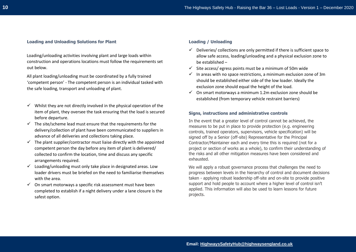#### **Loading and Unloading Solutions for Plant**

Loading/unloading activities involving plant and large loads within construction and operations locations must follow the requirements set out below.

All plant loading/unloading must be coordinated by a fully trained 'competent person' - The competent person is an individual tasked with the safe loading, transport and unloading of plant.

- $\checkmark$  Whilst they are not directly involved in the physical operation of the item of plant, they oversee the task ensuring that the load is secured before departure.
- $\checkmark$  The site/scheme lead must ensure that the requirements for the delivery/collection of plant have been communicated to suppliers in advance of all deliveries and collections taking place.
- $\checkmark$  The plant supplier/contractor must liaise directly with the appointed competent person the day before any item of plant is delivered/ collected to confirm the location, time and discuss any specific arrangements required.
- $\checkmark$  Loading/unloading must only take place in designated areas. Low loader drivers must be briefed on the need to familiarise themselves with the area.
- $\checkmark$  On smart motorways a specific risk assessment must have been completed to establish if a night delivery under a lane closure is the safest option.

#### **Loading / Unloading**

- $\checkmark$  Deliveries/ collections are only permitted if there is sufficient space to allow safe access, loading/unloading and a physical exclusion zone to be established –
- $\checkmark$  Site access/ egress points must be a minimum of 50m wide
- $\checkmark$  In areas with no space restrictions, a minimum exclusion zone of 3m should be established either side of the low loader. Ideally the exclusion zone should equal the height of the load.
- $\checkmark$  On smart motorways a minimum 1.2m exclusion zone should be established (from temporary vehicle restraint barriers)

#### **Signs, instructions and administrative controls**

In the event that a greater level of control cannot be achieved, the measures to be put in place to provide protection (e.g. engineering controls, trained operators, supervisors, vehicle specification) will be signed off by a Senior (off-site) Representative for the Principal Contractor/Maintainer each and every time this is required (not for a project or section of works as a whole), to confirm their understanding of the risks and all other mitigation measures have been considered and exhausted.

We will apply a robust governance process that challenges the need to progress between levels in the hierarchy of control and document decisions taken - applying robust leadership off-site and on-site to provide positive support and hold people to account where a higher level of control isn't applied. This information will also be used to learn lessons for future projects.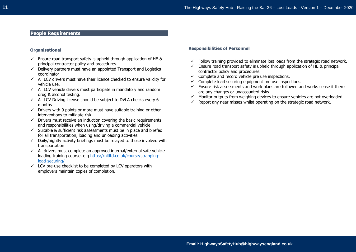# **People Requirements**

#### **Organisational**

- $\checkmark$  Ensure road transport safety is upheld through application of HE & principal contractor policy and procedures.
- $\checkmark$  Delivery partners must have an appointed Transport and Logistics coordinator
- ✓ All LCV drivers must have their licence checked to ensure validity for vehicle use.
- $\checkmark$  All LCV vehicle drivers must participate in mandatory and random drug & alcohol testing.
- $\checkmark$  All LCV Driving license should be subject to DVLA checks every 6 months
- $\checkmark$  Drivers with 9 points or more must have suitable training or other interventions to mitigate risk.
- $\checkmark$  Drivers must receive an induction covering the basic requirements and responsibilities when using/driving a commercial vehicle
- $\checkmark$  Suitable & sufficient risk assessments must be in place and briefed for all transportation, loading and unloading activities.
- ✓ Daily/nightly activity briefings must be relayed to those involved with transportation
- $\checkmark$  All drivers must complete an approved internal/external safe vehicle loading training course. e.g [https://nltltd.co.uk/course/strapping](https://nltltd.co.uk/course/strapping-load-securing/)[load-securing/](https://nltltd.co.uk/course/strapping-load-securing/)
- $\checkmark$  LCV pre-use checklist to be completed by LCV operators with employers maintain copies of completion.

#### **Responsibilities of Personnel**

- $\checkmark$  Follow training provided to eliminate lost loads from the strategic road network.
- $\checkmark$  Ensure road transport safety is upheld through application of HE & principal contractor policy and procedures.
- $\checkmark$  Complete and record vehicle pre use inspections.
- $\checkmark$  Complete load securing equipment pre use inspections.
- $\checkmark$  Ensure risk assessments and work plans are followed and works cease if there are any changes or unaccounted risks.
- $\checkmark$  Monitor outputs from weighing devices to ensure vehicles are not overloaded.
- $\checkmark$  Report any near misses whilst operating on the strategic road network.